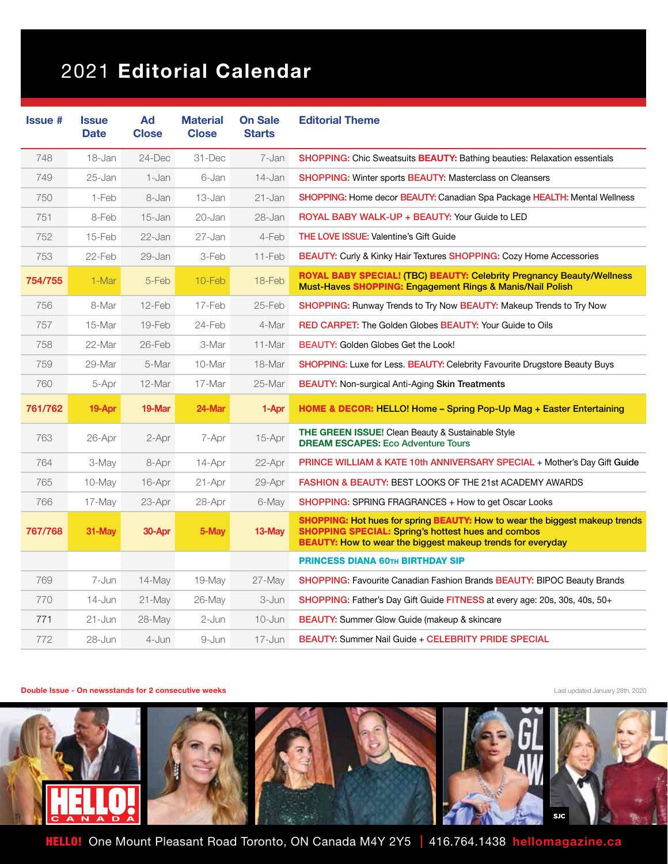## 2021 Editorial Calendar

| <b>Issue #</b> | <b>Issue</b><br><b>Date</b> | Ad<br><b>Close</b> | <b>Material</b><br><b>Close</b> | <b>On Sale</b><br><b>Starts</b> | <b>Editorial Theme</b>                                                                                                                                                                                        |
|----------------|-----------------------------|--------------------|---------------------------------|---------------------------------|---------------------------------------------------------------------------------------------------------------------------------------------------------------------------------------------------------------|
| 748            | 18-Jan                      | $24$ -Dec          | 31-Dec                          | 7-Jan                           | <b>SHOPPING:</b> Chic Sweatsuits <b>BEAUTY:</b> Bathing beauties: Relaxation essentials                                                                                                                       |
| 749            | $25 - Jan$                  | 1-Jan              | 6-Jan                           | 14-Jan                          | <b>SHOPPING:</b> Winter sports <b>BEAUTY:</b> Masterclass on Cleansers                                                                                                                                        |
| 750            | 1-Feb                       | 8-Jan              | 13-Jan                          | 21-Jan                          | <b>SHOPPING: Home decor BEAUTY: Canadian Spa Package HEALTH: Mental Wellness</b>                                                                                                                              |
| 751            | 8-Feb                       | 15-Jan             | 20-Jan                          | 28-Jan                          | ROYAL BABY WALK-UP + BEAUTY: Your Guide to LED                                                                                                                                                                |
| 752            | 15-Feb                      | 22-Jan             | 27-Jan                          | 4-Feb                           | <b>THE LOVE ISSUE: Valentine's Gift Guide</b>                                                                                                                                                                 |
| 753            | 22-Feb                      | 29-Jan             | 3-Feb                           | 11-Feb                          | <b>BEAUTY:</b> Curly & Kinky Hair Textures <b>SHOPPING:</b> Cozy Home Accessories                                                                                                                             |
| 754/755        | 1-Mar                       | 5-Feb              | 10-Feb                          | 18-Feb                          | <b>ROYAL BABY SPECIAL! (TBC) BEAUTY: Celebrity Pregnancy Beauty/Wellness</b><br>Must-Haves SHOPPING: Engagement Rings & Manis/Nail Polish                                                                     |
| 756            | 8-Mar                       | 12-Feb             | 17-Feb                          | 25-Feb                          | <b>SHOPPING:</b> Runway Trends to Try Now <b>BEAUTY:</b> Makeup Trends to Try Now                                                                                                                             |
| 757            | 15-Mar                      | 19-Feb             | 24-Feb                          | 4-Mar                           | <b>RED CARPET:</b> The Golden Globes <b>BEAUTY:</b> Your Guide to Oils                                                                                                                                        |
| 758            | 22-Mar                      | 26-Feb             | 3-Mar                           | 11-Mar                          | <b>BEAUTY: Golden Globes Get the Look!</b>                                                                                                                                                                    |
| 759            | 29-Mar                      | 5-Mar              | 10-Mar                          | 18-Mar                          | <b>SHOPPING:</b> Luxe for Less. BEAUTY: Celebrity Favourite Drugstore Beauty Buys                                                                                                                             |
| 760            | 5-Apr                       | 12-Mar             | 17-Mar                          | 25-Mar                          | <b>BEAUTY:</b> Non-surgical Anti-Aging Skin Treatments                                                                                                                                                        |
| 761/762        | 19-Apr                      | 19-Mar             | 24-Mar                          | 1-Apr                           | HOME & DECOR: HELLO! Home - Spring Pop-Up Mag + Easter Entertaining                                                                                                                                           |
| 763            | 26-Apr                      | 2-Apr              | 7-Apr                           | 15-Apr                          | THE GREEN ISSUE! Clean Beauty & Sustainable Style<br><b>DREAM ESCAPES: Eco Adventure Tours</b>                                                                                                                |
| 764            | 3-May                       | 8-Apr              | 14-Apr                          | 22-Apr                          | <b>PRINCE WILLIAM &amp; KATE 10th ANNIVERSARY SPECIAL + Mother's Day Gift Guide</b>                                                                                                                           |
| 765            | $10$ -May                   | $16$ -Apr          | 21-Apr                          | 29-Apr                          | <b>FASHION &amp; BEAUTY: BEST LOOKS OF THE 21st ACADEMY AWARDS</b>                                                                                                                                            |
| 766            | 17-May                      | 23-Apr             | 28-Apr                          | 6-May                           | <b>SHOPPING: SPRING FRAGRANCES + How to get Oscar Looks</b>                                                                                                                                                   |
| 767/768        | 31-May                      | 30-Apr             | 5-May                           | 13-May                          | SHOPPING: Hot hues for spring BEAUTY: How to wear the biggest makeup trends<br><b>SHOPPING SPECIAL: Spring's hottest hues and combos</b><br><b>BEAUTY:</b> How to wear the biggest makeup trends for everyday |
|                |                             |                    |                                 |                                 | <b>PRINCESS DIANA 60TH BIRTHDAY SIP</b>                                                                                                                                                                       |
| 769            | 7-Jun                       | 14-May             | 19-May                          | 27-May                          | SHOPPING: Favourite Canadian Fashion Brands BEAUTY: BIPOC Beauty Brands                                                                                                                                       |
| 770            | 14-Jun                      | $21$ -May          | 26-May                          | 3-Jun                           | SHOPPING: Father's Day Gift Guide FITNESS at every age: 20s, 30s, 40s, 50+                                                                                                                                    |
| 771            | $21 - Jun$                  | 28-May             | 2-Jun                           | 10-Jun                          | <b>BEAUTY:</b> Summer Glow Guide (makeup & skincare                                                                                                                                                           |
| 772            | 28-Jun                      | 4-Jun              | 9-Jun                           | $17 - Jun$                      | BEAUTY: Summer Nail Guide + CELEBRITY PRIDE SPECIAL                                                                                                                                                           |

## **Double Issue - On newsstands for 2 consecutive weeks Last updated January 28th, 2020**



HELLO! One Mount Pleasant Road Toronto, ON Canada M4Y 2Y5 | 416.764.1438 hellomagazine.ca